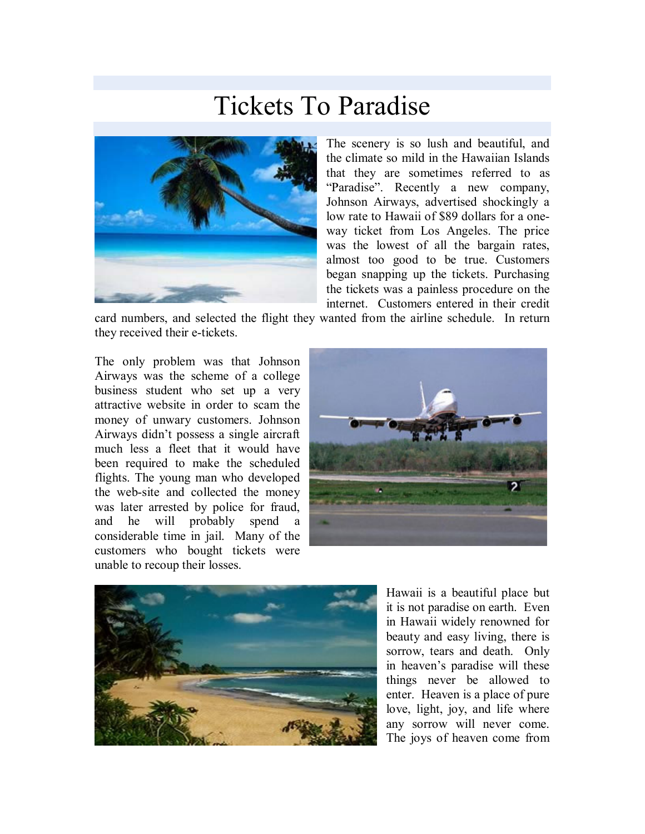## Tickets To Paradise



The scenery is so lush and beautiful, and the climate so mild in the Hawaiian Islands that they are sometimes referred to as "Paradise". Recently a new company, Johnson Airways, advertised shockingly a low rate to Hawaii of \$89 dollars for a oneway ticket from Los Angeles. The price was the lowest of all the bargain rates, almost too good to be true. Customers began snapping up the tickets. Purchasing the tickets was a painless procedure on the internet. Customers entered in their credit

card numbers, and selected the flight they wanted from the airline schedule. In return they received their e-tickets.

The only problem was that Johnson Airways was the scheme of a college business student who set up a very attractive website in order to scam the money of unwary customers. Johnson Airways didn't possess a single aircraft much less a fleet that it would have been required to make the scheduled flights. The young man who developed the web-site and collected the money was later arrested by police for fraud, and he will probably spend a considerable time in jail. Many of the customers who bought tickets were unable to recoup their losses.





Hawaii is a beautiful place but it is not paradise on earth. Even in Hawaii widely renowned for beauty and easy living, there is sorrow, tears and death. Only in heaven's paradise will these things never be allowed to enter. Heaven is a place of pure love, light, joy, and life where any sorrow will never come. The joys of heaven come from